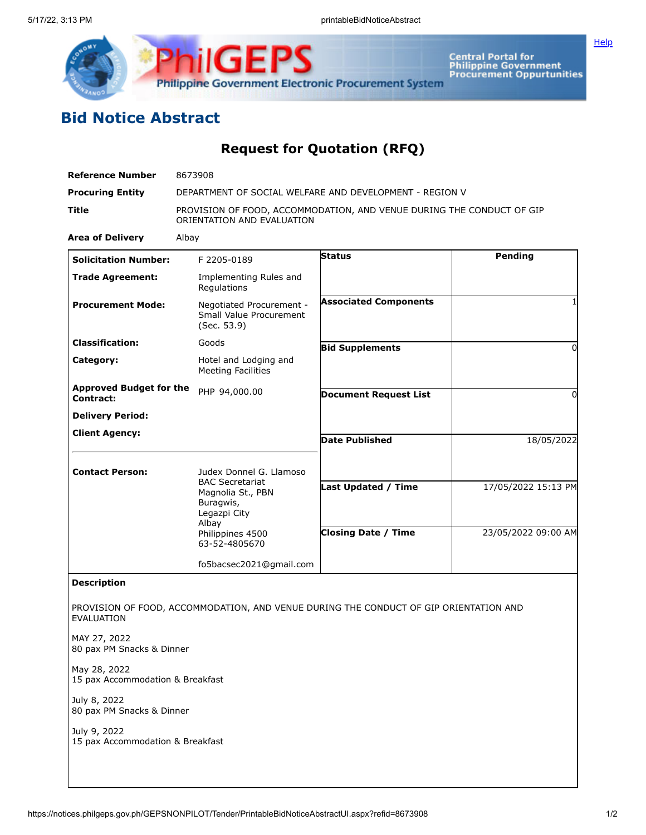

## **Bid Notice Abstract**

## **Request for Quotation (RFQ)**

**ilGEPS** 

| <b>Reference Number</b>                            | 8673908                                                                                             |                              |                     |
|----------------------------------------------------|-----------------------------------------------------------------------------------------------------|------------------------------|---------------------|
| <b>Procuring Entity</b>                            | DEPARTMENT OF SOCIAL WELFARE AND DEVELOPMENT - REGION V                                             |                              |                     |
| <b>Title</b>                                       | PROVISION OF FOOD, ACCOMMODATION, AND VENUE DURING THE CONDUCT OF GIP<br>ORIENTATION AND EVALUATION |                              |                     |
| <b>Area of Delivery</b>                            | Albay                                                                                               |                              |                     |
| <b>Solicitation Number:</b>                        | F 2205-0189                                                                                         | <b>Status</b>                | Pending             |
| <b>Trade Agreement:</b>                            | Implementing Rules and<br>Regulations                                                               |                              |                     |
| <b>Procurement Mode:</b>                           | Negotiated Procurement -<br>Small Value Procurement<br>(Sec. 53.9)                                  | <b>Associated Components</b> |                     |
| <b>Classification:</b>                             | Goods                                                                                               | <b>Bid Supplements</b>       | 0                   |
| Category:                                          | Hotel and Lodging and<br><b>Meeting Facilities</b>                                                  |                              |                     |
| <b>Approved Budget for the</b><br><b>Contract:</b> | PHP 94,000.00                                                                                       | <b>Document Request List</b> | 0                   |
| <b>Delivery Period:</b>                            |                                                                                                     |                              |                     |
| <b>Client Agency:</b>                              |                                                                                                     | <b>Date Published</b>        | 18/05/2022          |
| <b>Contact Person:</b>                             | Judex Donnel G. Llamoso<br><b>BAC Secretariat</b><br>Magnolia St., PBN<br>Buragwis,                 | <b>Last Updated / Time</b>   | 17/05/2022 15:13 PM |
|                                                    | Legazpi City<br>Albay<br>Philippines 4500<br>63-52-4805670                                          | <b>Closing Date / Time</b>   | 23/05/2022 09:00 AM |
|                                                    | fo5bacsec2021@gmail.com                                                                             |                              |                     |
| <b>Description</b>                                 |                                                                                                     |                              |                     |
| EVALUATION                                         | PROVISION OF FOOD, ACCOMMODATION, AND VENUE DURING THE CONDUCT OF GIP ORIENTATION AND               |                              |                     |
| MAY 27, 2022<br>80 pax PM Snacks & Dinner          |                                                                                                     |                              |                     |
| May 28, 2022<br>15 pax Accommodation & Breakfast   |                                                                                                     |                              |                     |
| July 8, 2022<br>80 pax PM Snacks & Dinner          |                                                                                                     |                              |                     |
| July 9, 2022<br>15 pax Accommodation & Breakfast   |                                                                                                     |                              |                     |